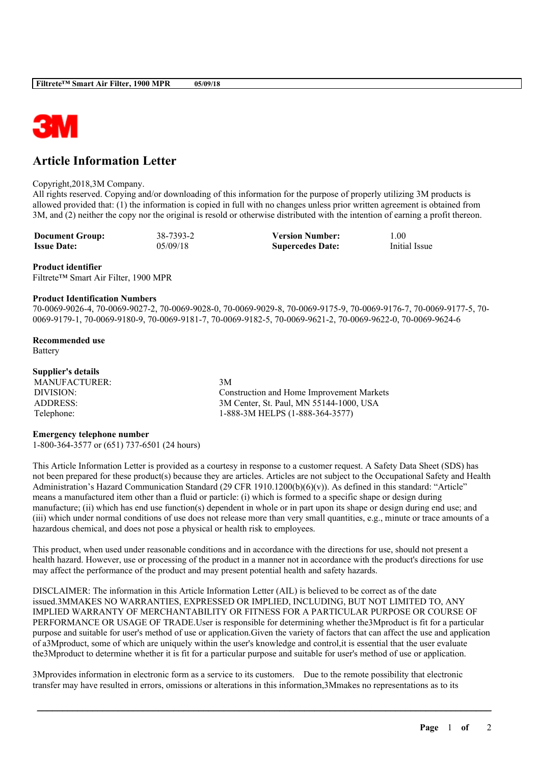

# **Article Information Letter**

## Copyright,2018,3M Company.

All rights reserved. Copying and/or downloading of this information for the purpose of properly utilizing 3M products is allowed provided that: (1) the information is copied in full with no changes unless prior written agreement is obtained from 3M, and (2) neither the copy nor the original is resold or otherwise distributed with the intention of earning a profit thereon.

**Document Group:** 38-7393-2 **Version Number:** 1.00<br> **Issue Date:** 05/09/18 **Supercedes Date:** Initial Issue **ISSUE Supercedes Date: Supercedes Date:** 

#### **Product identifier**

Filtrete™ Smart Air Filter, 1900 MPR

#### **Product Identification Numbers**

70-0069-9026-4, 70-0069-9027-2, 70-0069-9028-0, 70-0069-9029-8, 70-0069-9175-9, 70-0069-9176-7, 70-0069-9177-5, 70- 0069-9179-1, 70-0069-9180-9, 70-0069-9181-7, 70-0069-9182-5, 70-0069-9621-2, 70-0069-9622-0, 70-0069-9624-6

**Recommended use** Battery

# **Supplier's details**

MANUFACTURER: 3M

DIVISION: Construction and Home Improvement Markets ADDRESS: 3M Center, St. Paul, MN 55144-1000, USA Telephone: 1-888-3M HELPS (1-888-364-3577)

## **Emergency telephone number**

1-800-364-3577 or (651) 737-6501 (24 hours)

This Article Information Letter is provided as a courtesy in response to a customer request. A Safety Data Sheet (SDS) has not been prepared for these product(s) because they are articles. Articles are not subject to the Occupational Safety and Health Administration's Hazard Communication Standard (29 CFR 1910.1200(b)(6)(v)). As defined in this standard: "Article" means a manufactured item other than a fluid or particle: (i) which is formed to a specific shape or design during manufacture; (ii) which has end use function(s) dependent in whole or in part upon its shape or design during end use; and (iii) which under normal conditions of use does not release more than very small quantities, e.g., minute or trace amounts of a hazardous chemical, and does not pose a physical or health risk to employees.

This product, when used under reasonable conditions and in accordance with the directions for use, should not present a health hazard. However, use or processing of the product in a manner not in accordance with the product's directions for use may affect the performance of the product and may present potential health and safety hazards.

DISCLAIMER: The information in this Article Information Letter (AIL) is believed to be correct as of the date issued.3MMAKES NO WARRANTIES, EXPRESSED OR IMPLIED, INCLUDING, BUT NOT LIMITED TO, ANY IMPLIED WARRANTY OF MERCHANTABILITY OR FITNESS FOR A PARTICULAR PURPOSE OR COURSE OF PERFORMANCE OR USAGE OF TRADE.User is responsible for determining whether the3Mproduct is fit for a particular purpose and suitable for user's method of use or application.Given the variety of factors that can affect the use and application of a3Mproduct, some of which are uniquely within the user's knowledge and control,it is essential that the user evaluate the3Mproduct to determine whether it is fit for a particular purpose and suitable for user's method of use or application.

\_\_\_\_\_\_\_\_\_\_\_\_\_\_\_\_\_\_\_\_\_\_\_\_\_\_\_\_\_\_\_\_\_\_\_\_\_\_\_\_\_\_\_\_\_\_\_\_\_\_\_\_\_\_\_\_\_\_\_\_\_\_\_\_\_\_\_\_\_\_\_\_\_\_\_\_\_\_\_\_\_\_\_\_\_\_\_\_\_\_

3Mprovides information in electronic form as a service to its customers. Due to the remote possibility that electronic transfer may have resulted in errors, omissions or alterations in this information,3Mmakes no representations as to its